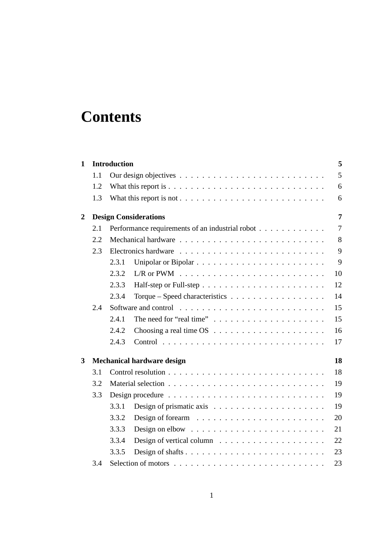# **Contents**

| $\mathbf{1}$   |     | <b>Introduction</b> |                                                                            | 5              |  |  |  |  |
|----------------|-----|---------------------|----------------------------------------------------------------------------|----------------|--|--|--|--|
|                | 1.1 |                     |                                                                            | 5              |  |  |  |  |
|                | 1.2 |                     |                                                                            | 6              |  |  |  |  |
|                | 1.3 |                     |                                                                            | 6              |  |  |  |  |
| $\overline{2}$ |     |                     | <b>Design Considerations</b>                                               | 7              |  |  |  |  |
|                | 2.1 |                     | Performance requirements of an industrial robot                            | $\overline{7}$ |  |  |  |  |
|                | 2.2 |                     |                                                                            | 8              |  |  |  |  |
|                | 2.3 |                     |                                                                            | 9              |  |  |  |  |
|                |     | 2.3.1               |                                                                            | 9              |  |  |  |  |
|                |     | 2.3.2               | $L/R$ or PWM $\ldots \ldots \ldots \ldots \ldots \ldots \ldots \ldots$     | 10             |  |  |  |  |
|                |     | 2.3.3               |                                                                            | 12             |  |  |  |  |
|                |     | 2.3.4               | Torque – Speed characteristics $\ldots$ ,                                  | 14             |  |  |  |  |
|                | 2.4 |                     |                                                                            | 15             |  |  |  |  |
|                |     | 2.4.1               | The need for "real time" $\ldots \ldots \ldots \ldots \ldots \ldots$       | 15             |  |  |  |  |
|                |     | 2.4.2               |                                                                            | 16             |  |  |  |  |
|                |     | 2.4.3               |                                                                            | 17             |  |  |  |  |
| 3              |     |                     | <b>Mechanical hardware design</b>                                          | 18             |  |  |  |  |
|                | 3.1 |                     |                                                                            |                |  |  |  |  |
|                | 3.2 |                     |                                                                            |                |  |  |  |  |
|                | 3.3 | 19                  |                                                                            |                |  |  |  |  |
|                |     | 3.3.1               | Design of prismatic axis $\dots \dots \dots \dots \dots \dots \dots \dots$ | 19             |  |  |  |  |
|                |     | 3.3.2               | Design of forearm $\ldots \ldots \ldots \ldots \ldots \ldots \ldots$       | 20             |  |  |  |  |
|                |     | 3.3.3               | Design on elbow $\ldots \ldots \ldots \ldots \ldots \ldots \ldots \ldots$  | 21             |  |  |  |  |
|                |     | 3.3.4               | Design of vertical column $\dots \dots \dots \dots \dots \dots \dots$      | 22             |  |  |  |  |
|                |     | 3.3.5               |                                                                            | 23             |  |  |  |  |
|                | 3.4 |                     |                                                                            | 23             |  |  |  |  |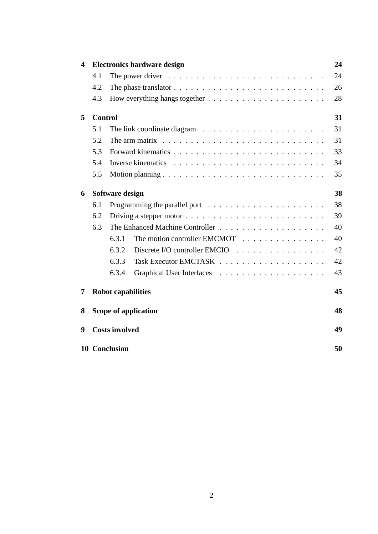| $\overline{\mathbf{4}}$ |                | <b>Electronics hardware design</b>                                                     | 24 |  |  |  |  |  |  |
|-------------------------|----------------|----------------------------------------------------------------------------------------|----|--|--|--|--|--|--|
|                         | 4.1            | The power driver $\dots \dots \dots \dots \dots \dots \dots \dots \dots \dots \dots$   | 24 |  |  |  |  |  |  |
|                         | 4.2            | The phase translator $\ldots \ldots \ldots \ldots \ldots \ldots \ldots \ldots \ldots$  | 26 |  |  |  |  |  |  |
|                         | 4.3            |                                                                                        | 28 |  |  |  |  |  |  |
| 5                       | <b>Control</b> |                                                                                        | 31 |  |  |  |  |  |  |
|                         | 5.1            | The link coordinate diagram $\ldots \ldots \ldots \ldots \ldots \ldots \ldots$         | 31 |  |  |  |  |  |  |
|                         | 5.2            | The arm matrix $\ldots \ldots \ldots \ldots \ldots \ldots \ldots \ldots \ldots \ldots$ | 31 |  |  |  |  |  |  |
|                         | 5.3            |                                                                                        | 33 |  |  |  |  |  |  |
|                         | 5.4            |                                                                                        | 34 |  |  |  |  |  |  |
|                         | 5.5            |                                                                                        | 35 |  |  |  |  |  |  |
| 6                       |                | Software design                                                                        | 38 |  |  |  |  |  |  |
|                         | 6.1            |                                                                                        | 38 |  |  |  |  |  |  |
|                         | 6.2            |                                                                                        | 39 |  |  |  |  |  |  |
|                         | 6.3            |                                                                                        |    |  |  |  |  |  |  |
|                         |                | The motion controller EMCMOT<br>6.3.1                                                  | 40 |  |  |  |  |  |  |
|                         |                | 6.3.2<br>Discrete I/O controller EMCIO                                                 | 42 |  |  |  |  |  |  |
|                         |                | 6.3.3                                                                                  | 42 |  |  |  |  |  |  |
|                         |                | 6.3.4                                                                                  | 43 |  |  |  |  |  |  |
| 7                       |                | <b>Robot capabilities</b>                                                              | 45 |  |  |  |  |  |  |
| 8                       |                | <b>Scope of application</b>                                                            | 48 |  |  |  |  |  |  |
| 9                       |                | <b>Costs involved</b>                                                                  | 49 |  |  |  |  |  |  |
|                         |                | <b>10 Conclusion</b>                                                                   | 50 |  |  |  |  |  |  |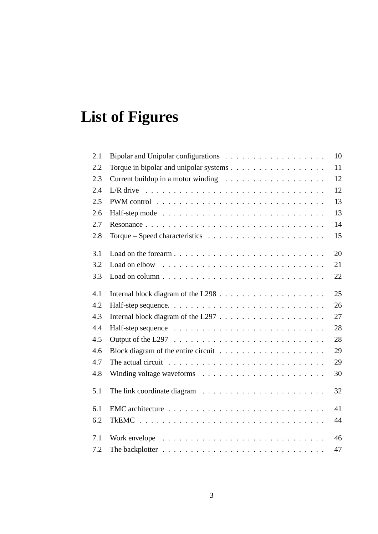# **List of Figures**

| 2.1 |                                                                                            | 10 |
|-----|--------------------------------------------------------------------------------------------|----|
| 2.2 |                                                                                            | 11 |
| 2.3 |                                                                                            | 12 |
| 2.4 |                                                                                            | 12 |
| 2.5 |                                                                                            | 13 |
| 2.6 |                                                                                            | 13 |
| 2.7 |                                                                                            | 14 |
| 2.8 |                                                                                            | 15 |
| 3.1 | Load on the forearm                                                                        | 20 |
| 3.2 |                                                                                            | 21 |
| 3.3 |                                                                                            | 22 |
| 4.1 |                                                                                            | 25 |
| 4.2 |                                                                                            | 26 |
| 4.3 |                                                                                            | 27 |
| 4.4 |                                                                                            | 28 |
| 4.5 |                                                                                            | 28 |
| 4.6 |                                                                                            | 29 |
| 4.7 | The actual circuit $\ldots \ldots \ldots \ldots \ldots \ldots \ldots \ldots \ldots \ldots$ | 29 |
| 4.8 |                                                                                            | 30 |
| 5.1 | The link coordinate diagram $\ldots \ldots \ldots \ldots \ldots \ldots \ldots$             | 32 |
| 6.1 |                                                                                            | 41 |
| 6.2 |                                                                                            | 44 |
| 7.1 | Work envelope $\ldots \ldots \ldots \ldots \ldots \ldots \ldots \ldots \ldots$             | 46 |
| 7.2 |                                                                                            | 47 |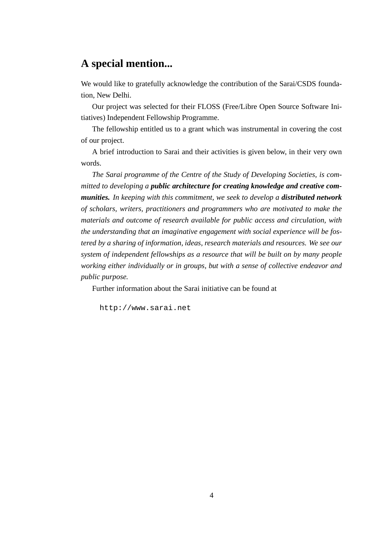### **A special mention...**

We would like to gratefully acknowledge the contribution of the Sarai/CSDS foundation, New Delhi.

Our project was selected for their FLOSS (Free/Libre Open Source Software Initiatives) Independent Fellowship Programme.

The fellowship entitled us to a grant which was instrumental in covering the cost of our project.

A brief introduction to Sarai and their activities is given below, in their very own words.

*The Sarai programme of the Centre of the Study of Developing Societies, is committed to developing a public architecture for creating knowledge and creative communities. In keeping with this commitment, we seek to develop a distributed network of scholars, writers, practitioners and programmers who are motivated to make the materials and outcome of research available for public access and circulation, with the understanding that an imaginative engagement with social experience will be fostered by a sharing of information, ideas, research materials and resources. We see our system of independent fellowships as a resource that will be built on by many people working either individually or in groups, but with a sense of collective endeavor and public purpose.*

Further information about the Sarai initiative can be found at

http://www.sarai.net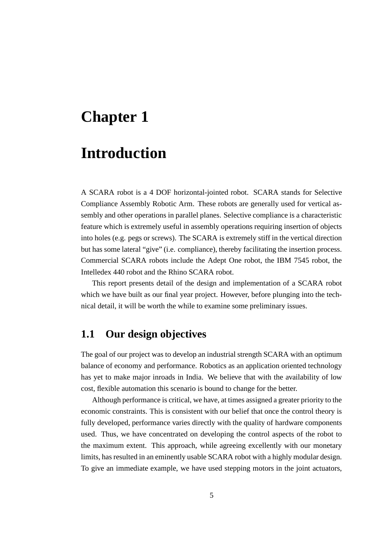## **Introduction**

A SCARA robot is a 4 DOF horizontal-jointed robot. SCARA stands for Selective Compliance Assembly Robotic Arm. These robots are generally used for vertical assembly and other operations in parallel planes. Selective compliance is a characteristic feature which is extremely useful in assembly operations requiring insertion of objects into holes (e.g. pegs or screws). The SCARA is extremely stiff in the vertical direction but has some lateral "give" (i.e. compliance), thereby facilitating the insertion process. Commercial SCARA robots include the Adept One robot, the IBM 7545 robot, the Intelledex 440 robot and the Rhino SCARA robot.

This report presents detail of the design and implementation of a SCARA robot which we have built as our final year project. However, before plunging into the technical detail, it will be worth the while to examine some preliminary issues.

### **1.1 Our design objectives**

The goal of our project was to develop an industrial strength SCARA with an optimum balance of economy and performance. Robotics as an application oriented technology has yet to make major inroads in India. We believe that with the availability of low cost, flexible automation this scenario is bound to change for the better.

Although performance is critical, we have, at times assigned a greater priority to the economic constraints. This is consistent with our belief that once the control theory is fully developed, performance varies directly with the quality of hardware components used. Thus, we have concentrated on developing the control aspects of the robot to the maximum extent. This approach, while agreeing excellently with our monetary limits, has resulted in an eminently usable SCARA robot with a highly modular design. To give an immediate example, we have used stepping motors in the joint actuators,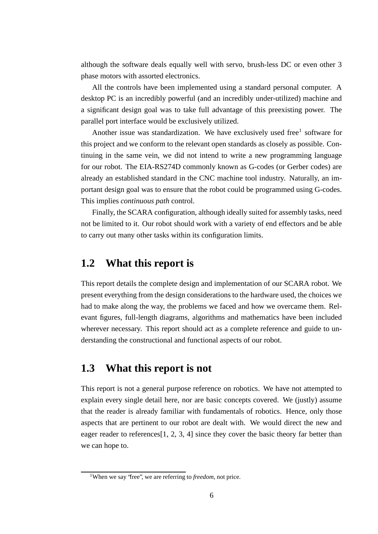although the software deals equally well with servo, brush-less DC or even other 3 phase motors with assorted electronics.

All the controls have been implemented using a standard personal computer. A desktop PC is an incredibly powerful (and an incredibly under-utilized) machine and a significant design goal was to take full advantage of this preexisting power. The parallel port interface would be exclusively utilized.

Another issue was standardization. We have exclusively used free<sup>1</sup> software for this project and we conform to the relevant open standards as closely as possible. Continuing in the same vein, we did not intend to write a new programming language for our robot. The EIA-RS274D commonly known as G-codes (or Gerber codes) are already an established standard in the CNC machine tool industry. Naturally, an important design goal was to ensure that the robot could be programmed using G-codes. This implies *continuous path* control.

Finally, the SCARA configuration, although ideally suited for assembly tasks, need not be limited to it. Our robot should work with a variety of end effectors and be able to carry out many other tasks within its configuration limits.

### **1.2 What this report is**

This report details the complete design and implementation of our SCARA robot. We present everything from the design considerationsto the hardware used, the choices we had to make along the way, the problems we faced and how we overcame them. Relevant figures, full-length diagrams, algorithms and mathematics have been included wherever necessary. This report should act as a complete reference and guide to understanding the constructional and functional aspects of our robot.

### **1.3 What this report is not**

This report is not a general purpose reference on robotics. We have not attempted to explain every single detail here, nor are basic concepts covered. We (justly) assume that the reader is already familiar with fundamentals of robotics. Hence, only those aspects that are pertinent to our robot are dealt with. We would direct the new and eager reader to references<sup>[1, 2, 3, 4]</sup> since they cover the basic theory far better than we can hope to.

<sup>&</sup>lt;sup>1</sup>When we say 'free'', we are referring to *freedom*, not price.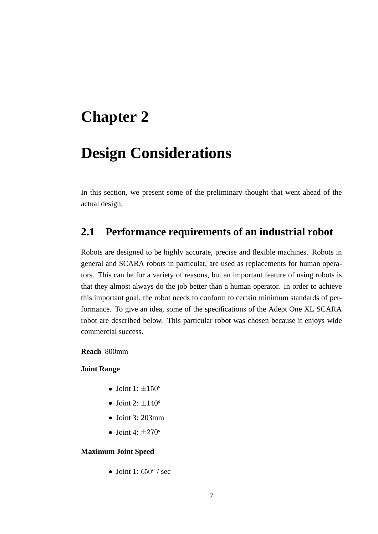## **Design Considerations**

In this section, we present some of the preliminary thought that went ahead of the actual design.

### **2.1 Performance requirements of an industrial robot**

Robots are designed to be highly accurate, precise and flexible machines. Robots in general and SCARA robots in particular, are used as replacements for human operators. This can be for a variety of reasons, but an important feature of using robots is that they almost always do the job better than a human operator. In order to achieve this important goal, the robot needs to conform to certain minimum standards of performance. To give an idea, some of the specifications of the Adept One XL SCARA robot are described below. This particular robot was chosen because it enjoys wide commercial success.

#### **Reach** 800mm

#### **Joint Range**

- Joint 1:  $\pm 150^\circ$
- Joint 2:  $\pm 140^\circ$
- Joint 3: 203mm
- Joint 4:  $\pm 270^\circ$

#### **Maximum Joint Speed**

• Joint 1:  $650^{\circ}$  / sec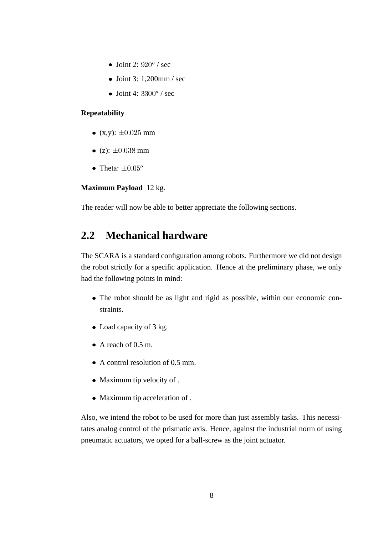- Joint 2:  $920^{\circ}$  / sec
- $\bullet$  Joint 3: 1,200mm / sec
- Joint 4:  $3300^{\circ}$  / sec

#### **Repeatability**

- (x,y):  $\pm 0.025$  mm
- (z):  $\pm 0.038 \text{ mm}$
- Theta:  $\pm 0.05^{\circ}$

#### **Maximum Payload** 12 kg.

The reader will now be able to better appreciate the following sections.

### **2.2 Mechanical hardware**

The SCARA is a standard configuration among robots. Furthermore we did not design the robot strictly for a specific application. Hence at the preliminary phase, we only had the following points in mind:

- The robot should be as light and rigid as possible, within our economic constraints.
- Load capacity of 3 kg.
- A reach of 0.5 m.
- A control resolution of 0.5 mm.
- Maximum tip velocity of .
- Maximum tip acceleration of .

Also, we intend the robot to be used for more than just assembly tasks. This necessitates analog control of the prismatic axis. Hence, against the industrial norm of using pneumatic actuators, we opted for a ball-screw as the joint actuator.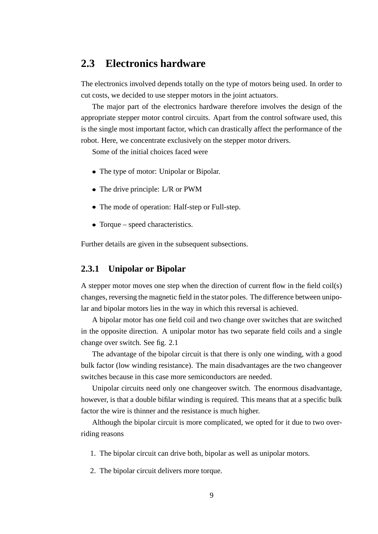### **2.3 Electronics hardware**

The electronics involved depends totally on the type of motors being used. In order to cut costs, we decided to use stepper motors in the joint actuators.

The major part of the electronics hardware therefore involves the design of the appropriate stepper motor control circuits. Apart from the control software used, this is the single most important factor, which can drastically affect the performance of the robot. Here, we concentrate exclusively on the stepper motor drivers.

Some of the initial choices faced were

- The type of motor: Unipolar or Bipolar.
- The drive principle: L/R or PWM
- The mode of operation: Half-step or Full-step.
- Torque speed characteristics.

Further details are given in the subsequent subsections.

#### **2.3.1 Unipolar or Bipolar**

A stepper motor moves one step when the direction of current flow in the field coil(s) changes, reversing the magnetic field in the stator poles. The difference between unipolar and bipolar motors lies in the way in which this reversal is achieved.

A bipolar motor has one field coil and two change over switches that are switched in the opposite direction. A unipolar motor has two separate field coils and a single change over switch. See fig. 2.1

The advantage of the bipolar circuit is that there is only one winding, with a good bulk factor (low winding resistance). The main disadvantages are the two changeover switches because in this case more semiconductors are needed.

Unipolar circuits need only one changeover switch. The enormous disadvantage, however, is that a double bifilar winding is required. This means that at a specific bulk factor the wire is thinner and the resistance is much higher.

Although the bipolar circuit is more complicated, we opted for it due to two overriding reasons

1. The bipolar circuit can drive both, bipolar as well as unipolar motors.

2. The bipolar circuit delivers more torque.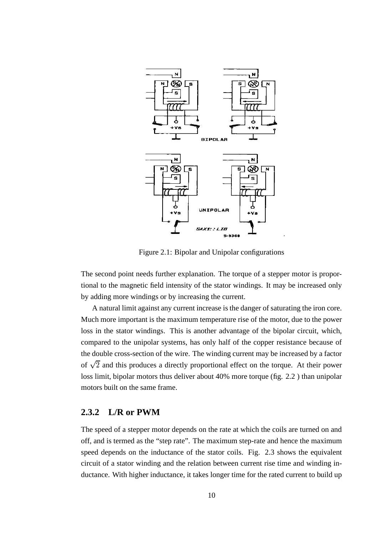

Figure 2.1: Bipolar and Unipolar configurations

The second point needs further explanation. The torque of a stepper motor is proportional to the magnetic field intensity of the stator windings. It may be increased only by adding more windings or by increasing the current.

A natural limit against any current increase is the danger of saturating the iron core. Much more important is the maximum temperature rise of the motor, due to the power loss in the stator windings. This is another advantage of the bipolar circuit, which, compared to the unipolar systems, has only half of the copper resistance because of the double cross-section of the wire. The winding current may be increased by a factor of  $\sqrt{2}$  and this produces a directly proportional effect on the torque. At their power loss limit, bipolar motors thus deliver about 40% more torque (fig. 2.2 ) than unipolar motors built on the same frame.

#### **2.3.2 L/R or PWM**

The speed of a stepper motor depends on the rate at which the coils are turned on and off, and is termed as the "step rate". The maximum step-rate and hence the maximum speed depends on the inductance of the stator coils. Fig. 2.3 shows the equivalent circuit of a stator winding and the relation between current rise time and winding inductance. With higher inductance, it takes longer time for the rated current to build up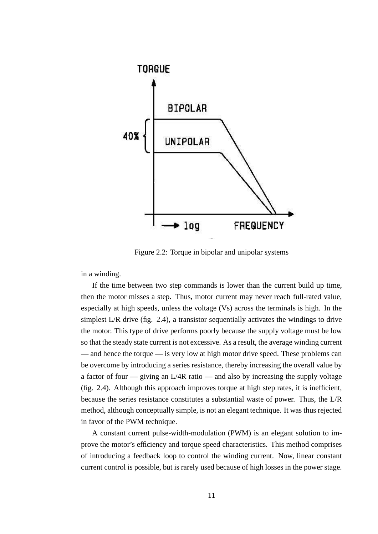

Figure 2.2: Torque in bipolar and unipolar systems

in a winding.

If the time between two step commands is lower than the current build up time, then the motor misses a step. Thus, motor current may never reach full-rated value, especially at high speeds, unless the voltage (Vs) across the terminals is high. In the simplest L/R drive (fig. 2.4), a transistor sequentially activates the windings to drive the motor. This type of drive performs poorly because the supply voltage must be low so that the steady state current is not excessive. As a result, the average winding current — and hence the torque — is very low at high motor drive speed. These problems can be overcome by introducing a series resistance, thereby increasing the overall value by a factor of four — giving an L/4R ratio — and also by increasing the supply voltage (fig. 2.4). Although this approach improves torque at high step rates, it is inefficient, because the series resistance constitutes a substantial waste of power. Thus, the L/R method, although conceptually simple, is not an elegant technique. It was thus rejected in favor of the PWM technique.

A constant current pulse-width-modulation (PWM) is an elegant solution to improve the motor's efficiency and torque speed characteristics. This method comprises of introducing a feedback loop to control the winding current. Now, linear constant current control is possible, but is rarely used because of high losses in the power stage.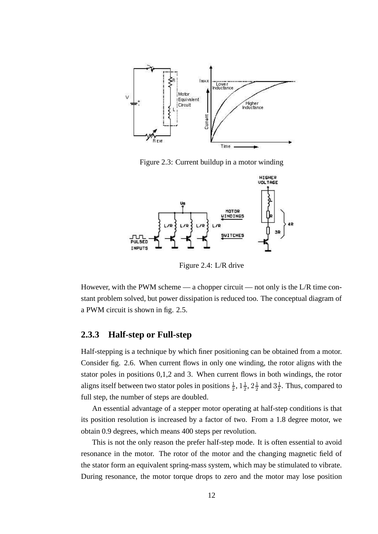

Figure 2.3: Current buildup in a motor winding



Figure 2.4: L/R drive

However, with the PWM scheme — a chopper circuit — not only is the L/R time constant problem solved, but power dissipation is reduced too. The conceptual diagram of a PWM circuit is shown in fig. 2.5.

#### **2.3.3 Half-step or Full-step**

Half-stepping is a technique by which finer positioning can be obtained from a motor. Consider fig. 2.6. When current flows in only one winding, the rotor aligns with the stator poles in positions 0,1,2 and 3. When current flows in both windings, the rotor aligns itself between two stator poles in positions  $\frac{1}{2}$ ,  $1\frac{1}{2}$ ,  $2\frac{1}{2}$  and  $3\frac{1}{2}$ . Thus, compared to full step, the number of steps are doubled.

An essential advantage of a stepper motor operating at half-step conditions is that its position resolution is increased by a factor of two. From a 1.8 degree motor, we obtain 0.9 degrees, which means 400 steps per revolution.

This is not the only reason the prefer half-step mode. It is often essential to avoid resonance in the motor. The rotor of the motor and the changing magnetic field of the stator form an equivalent spring-mass system, which may be stimulated to vibrate. During resonance, the motor torque drops to zero and the motor may lose position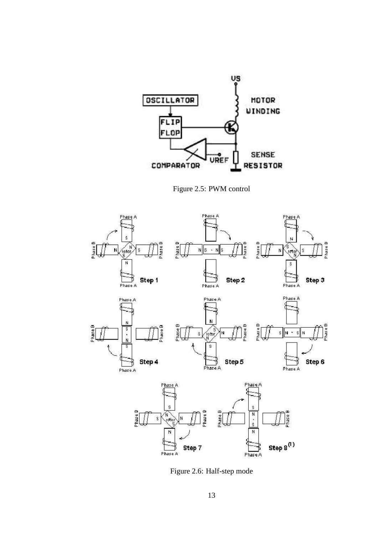

Figure 2.5: PWM control



Figure 2.6: Half-step mode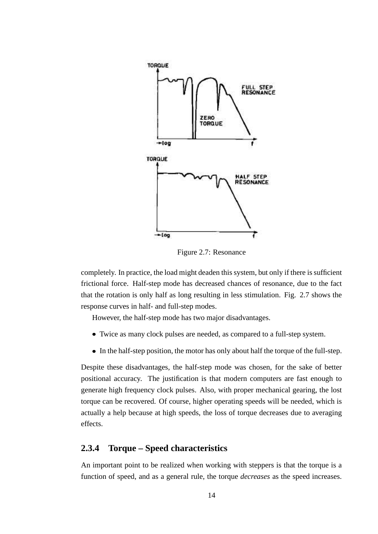

Figure 2.7: Resonance

completely. In practice, the load might deaden this system, but only if there is sufficient frictional force. Half-step mode has decreased chances of resonance, due to the fact that the rotation is only half as long resulting in less stimulation. Fig. 2.7 shows the response curves in half- and full-step modes.

However, the half-step mode has two major disadvantages.

- Twice as many clock pulses are needed, as compared to a full-step system.
- In the half-step position, the motor has only about half the torque of the full-step.

Despite these disadvantages, the half-step mode was chosen, for the sake of better positional accuracy. The justification is that modern computers are fast enough to generate high frequency clock pulses. Also, with proper mechanical gearing, the lost torque can be recovered. Of course, higher operating speeds will be needed, which is actually a help because at high speeds, the loss of torque decreases due to averaging effects.

#### **2.3.4 Torque – Speed characteristics**

An important point to be realized when working with steppers is that the torque is a function of speed, and as a general rule, the torque *decreases* as the speed increases.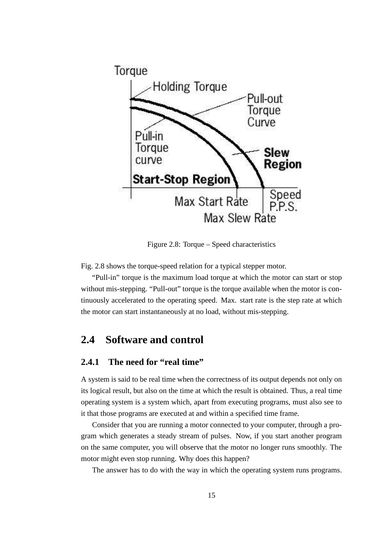

Figure 2.8: Torque – Speed characteristics

Fig. 2.8 shows the torque-speed relation for a typical stepper motor.

"Pull-in" torque is the maximum load torque at which the motor can start or stop without mis-stepping. "Pull-out" torque is the torque available when the motor is continuously accelerated to the operating speed. Max. start rate is the step rate at which the motor can start instantaneously at no load, without mis-stepping.

### **2.4 Software and control**

#### **2.4.1 The need for "real time"**

A system is said to be real time when the correctness of its output depends not only on its logical result, but also on the time at which the result is obtained. Thus, a real time operating system is a system which, apart from executing programs, must also see to it that those programs are executed at and within a specified time frame.

Consider that you are running a motor connected to your computer, through a program which generates a steady stream of pulses. Now, if you start another program on the same computer, you will observe that the motor no longer runs smoothly. The motor might even stop running. Why does this happen?

The answer has to do with the way in which the operating system runs programs.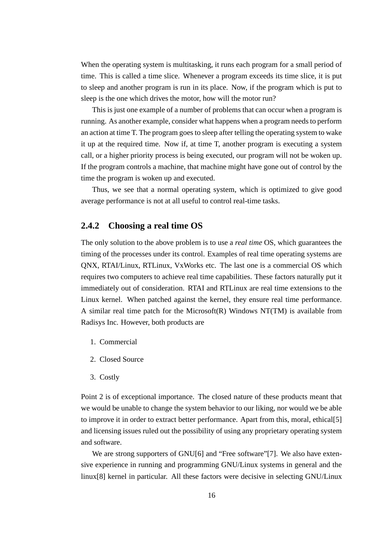When the operating system is multitasking, it runs each program for a small period of time. This is called a time slice. Whenever a program exceeds its time slice, it is put to sleep and another program is run in its place. Now, if the program which is put to sleep is the one which drives the motor, how will the motor run?

This is just one example of a number of problems that can occur when a program is running. As another example, consider what happens when a program needs to perform an action at time T. The program goes to sleep after telling the operating system to wake it up at the required time. Now if, at time T, another program is executing a system call, or a higher priority process is being executed, our program will not be woken up. If the program controls a machine, that machine might have gone out of control by the time the program is woken up and executed.

Thus, we see that a normal operating system, which is optimized to give good average performance is not at all useful to control real-time tasks.

#### **2.4.2 Choosing a real time OS**

The only solution to the above problem is to use a *real time* OS, which guarantees the timing of the processes under its control. Examples of real time operating systems are QNX, RTAI/Linux, RTLinux, VxWorks etc. The last one is a commercial OS which requires two computers to achieve real time capabilities. These factors naturally put it immediately out of consideration. RTAI and RTLinux are real time extensions to the Linux kernel. When patched against the kernel, they ensure real time performance. A similar real time patch for the Microsoft $(R)$  Windows NT $(TM)$  is available from Radisys Inc. However, both products are

- 1. Commercial
- 2. Closed Source
- 3. Costly

Point 2 is of exceptional importance. The closed nature of these products meant that we would be unable to change the system behavior to our liking, nor would we be able to improve it in order to extract better performance. Apart from this, moral, ethical[5] and licensing issues ruled out the possibility of using any proprietary operating system and software.

We are strong supporters of GNU[6] and "Free software"[7]. We also have extensive experience in running and programming GNU/Linux systems in general and the linux[8] kernel in particular. All these factors were decisive in selecting GNU/Linux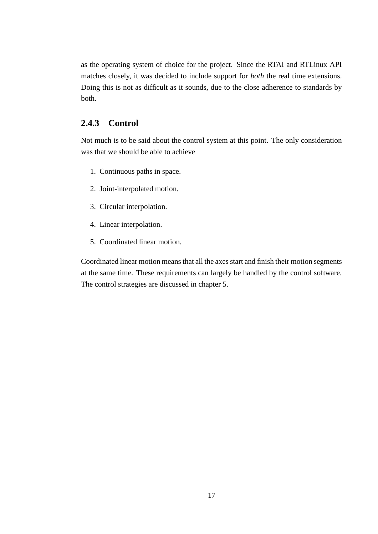as the operating system of choice for the project. Since the RTAI and RTLinux API matches closely, it was decided to include support for *both* the real time extensions. Doing this is not as difficult as it sounds, due to the close adherence to standards by both.

#### **2.4.3 Control**

Not much is to be said about the control system at this point. The only consideration was that we should be able to achieve

- 1. Continuous paths in space.
- 2. Joint-interpolated motion.
- 3. Circular interpolation.
- 4. Linear interpolation.
- 5. Coordinated linear motion.

Coordinated linear motion means that all the axes start and finish their motion segments at the same time. These requirements can largely be handled by the control software. The control strategies are discussed in chapter 5.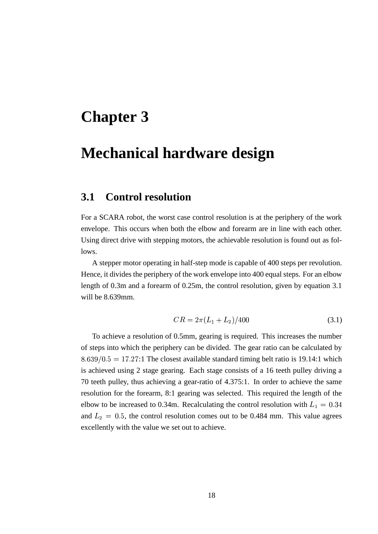## **Mechanical hardware design**

#### **3.1 Control resolution**

For a SCARA robot, the worst case control resolution is at the periphery of the work envelope. This occurs when both the elbow and forearm are in line with each other. Using direct drive with stepping motors, the achievable resolution is found out as follows.

A stepper motor operating in half-step mode is capable of 400 steps per revolution. Hence, it divides the periphery of the work envelope into 400 equal steps. For an elbow length of 0.3m and a forearm of 0.25m, the control resolution, given by equation 3.1 will be 8.639mm.

$$
CR = 2\pi (L_1 + L_2)/400\tag{3.1}
$$

To achieve a resolution of 0.5mm, gearing is required. This increases the number of steps into which the periphery can be divided. The gear ratio can be calculated by  $8.639/0.5 = 17.27:1$  The closest available standard timing belt ratio is 19.14:1 which is achieved using 2 stage gearing. Each stage consists of a 16 teeth pulley driving a 70 teeth pulley, thus achieving a gear-ratio of 4.375:1. In order to achieve the same resolution for the forearm, 8:1 gearing was selected. This required the length of the elbow to be increased to 0.34m. Recalculating the control resolution with  $L_1 = 0.34$ and  $L_2 = 0.5$ , the control resolution comes out to be 0.484 mm. This value agrees excellently with the value we set out to achieve.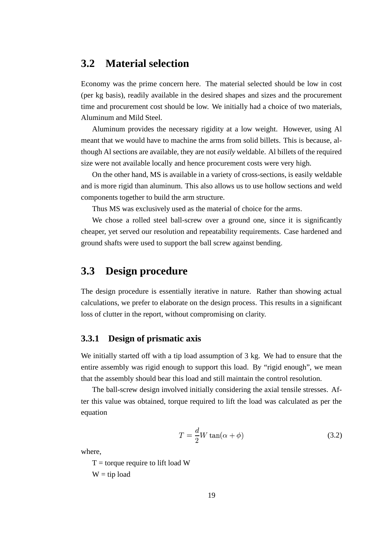### **3.2 Material selection**

Economy was the prime concern here. The material selected should be low in cost (per kg basis), readily available in the desired shapes and sizes and the procurement time and procurement cost should be low. We initially had a choice of two materials, Aluminum and Mild Steel.

Aluminum provides the necessary rigidity at a low weight. However, using Al meant that we would have to machine the arms from solid billets. This is because, although Al sections are available, they are not *easily* weldable. Al billets of the required size were not available locally and hence procurement costs were very high.

On the other hand, MS is available in a variety of cross-sections, is easily weldable and is more rigid than aluminum. This also allows us to use hollow sections and weld components together to build the arm structure.

Thus MS was exclusively used as the material of choice for the arms.

We chose a rolled steel ball-screw over a ground one, since it is significantly cheaper, yet served our resolution and repeatability requirements. Case hardened and ground shafts were used to support the ball screw against bending.

### **3.3 Design procedure**

The design procedure is essentially iterative in nature. Rather than showing actual calculations, we prefer to elaborate on the design process. This results in a significant loss of clutter in the report, without compromising on clarity.

#### **3.3.1 Design of prismatic axis**

We initially started off with a tip load assumption of 3 kg. We had to ensure that the entire assembly was rigid enough to support this load. By "rigid enough", we mean that the assembly should bear this load and still maintain the control resolution.

The ball-screw design involved initially considering the axial tensile stresses. After this value was obtained, torque required to lift the load was calculated as per the equation

$$
T = \frac{d}{2}W \tan(\alpha + \phi) \tag{3.2}
$$

where,

 $T =$  torque require to lift load W  $W = tip$  load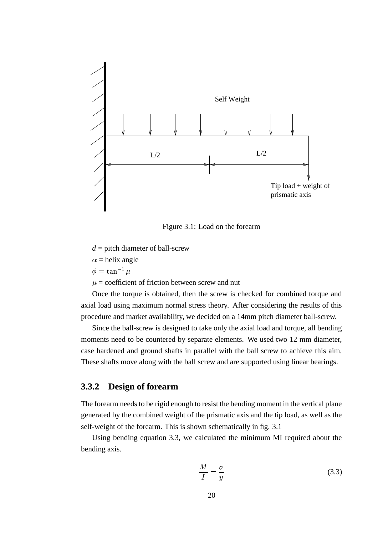

Figure 3.1: Load on the forearm

 $d =$  pitch diameter of ball-screw

 $\alpha$  = helix angle

$$
\phi = \tan^{-1} \mu
$$

 $\mu$  = coefficient of friction between screw and nut

Once the torque is obtained, then the screw is checked for combined torque and axial load using maximum normal stress theory. After considering the results of this procedure and market availability, we decided on a 14mm pitch diameter ball-screw.

Since the ball-screw is designed to take only the axial load and torque, all bending moments need to be countered by separate elements. We used two 12 mm diameter, case hardened and ground shafts in parallel with the ball screw to achieve this aim. These shafts move along with the ball screw and are supported using linear bearings.

#### **3.3.2 Design of forearm**

The forearm needs to be rigid enough to resist the bending moment in the vertical plane generated by the combined weight of the prismatic axis and the tip load, as well as the self-weight of the forearm. This is shown schematically in fig. 3.1

Using bending equation 3.3, we calculated the minimum MI required about the bending axis.

$$
\frac{M}{I} = \frac{\sigma}{y} \tag{3.3}
$$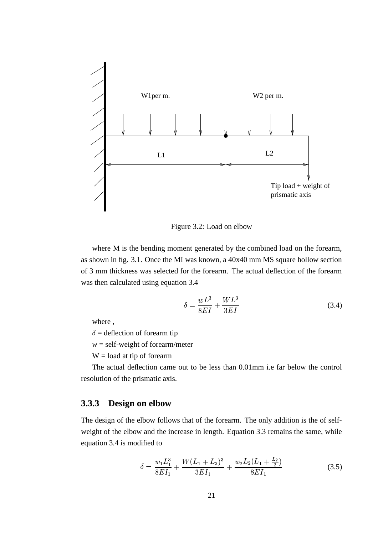

Figure 3.2: Load on elbow

where M is the bending moment generated by the combined load on the forearm, as shown in fig. 3.1. Once the MI was known, a 40x40 mm MS square hollow section of 3 mm thickness was selected for the forearm. The actual deflection of the forearm was then calculated using equation 3.4

$$
\delta = \frac{wL^3}{8EI} + \frac{WL^3}{3EI} \tag{3.4}
$$

where ,

 $\delta$  = deflection of forearm tip

 $w =$  self-weight of forearm/meter

 $W =$ load at tip of forearm

The actual deflection came out to be less than 0.01mm i.e far below the control resolution of the prismatic axis.

#### **3.3.3 Design on elbow**

The design of the elbow follows that of the forearm. The only addition is the of selfweight of the elbow and the increase in length. Equation 3.3 remains the same, while equation 3.4 is modified to

$$
\delta = \frac{w_1 L_1^3}{8EI_1} + \frac{W(L_1 + L_2)^3}{3EI_1} + \frac{w_2 L_2(L_1 + \frac{L_2}{2})}{8EI_1}
$$
(3.5)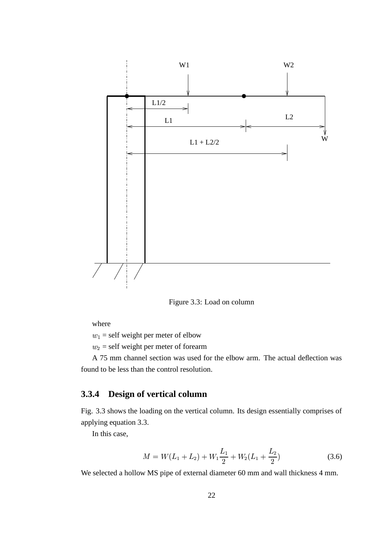

Figure 3.3: Load on column

where

 $w_1$  = self weight per meter of elbow

 $w_2$  = self weight per meter of forearm

A 75 mm channel section was used for the elbow arm. The actual deflection was found to be less than the control resolution.

#### **3.3.4 Design of vertical column**

Fig. 3.3 shows the loading on the vertical column. Its design essentially comprises of applying equation 3.3.

In this case,

$$
M = W(L_1 + L_2) + W_1 \frac{L_1}{2} + W_2(L_1 + \frac{L_2}{2})
$$
\n(3.6)

We selected a hollow MS pipe of external diameter 60 mm and wall thickness 4 mm.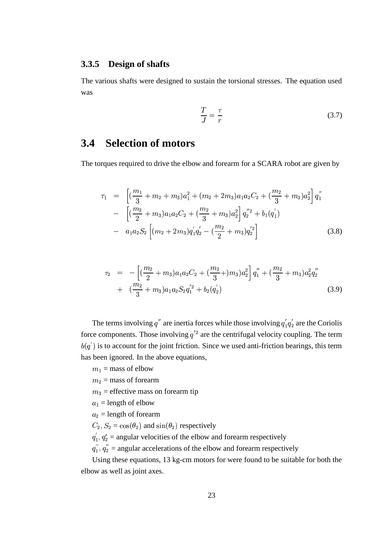#### **3.3.5 Design of shafts**

The various shafts were designed to sustain the torsional stresses. The equation used was

$$
\frac{T}{J} = \frac{\tau}{r} \tag{3.7}
$$

### **3.4 Selection of motors**

The torques required to drive the elbow and forearm for a SCARA robot are given by

$$
\tau_1 = \left[ \left( \frac{m_1}{3} + m_2 + m_3 \right) a_1^2 + (m_2 + 2m_3) a_1 a_2 C_2 + \left( \frac{m_2}{3} + m_3 \right) a_2^2 \right] q_1''
$$
  
\n
$$
- \left[ \left( \frac{m_2}{2} + m_3 \right) a_1 a_2 C_2 + \left( \frac{m_2}{3} + m_3 \right) a_2^2 \right] q_2''^2 + b_1 (q_1')
$$
  
\n
$$
- a_1 a_2 S_2 \left[ (m_2 + 2m_3) q_1' q_2' - \left( \frac{m_2}{2} + m_3 \right) q_2'^2 \right]
$$
(3.8)

$$
\tau_2 = -\left[ \left( \frac{m_2}{2} + m_3 \right) a_1 a_2 C_2 + \left( \frac{m_2}{3} + \right) m_3 \right) a_2^2 \right] q_1'' + \left( \frac{m_2}{3} + m_3 \right) a_2^2 q_2''
$$
  
+ 
$$
\left( \frac{m_2}{3} + m_3 \right) a_1 a_2 S_2 q_1'^2 + b_2(q_2')
$$
(3.9)

The terms involving  $q''$  are inertia forces while those involving  $q'_1q'_2$  are the Coriolis force components. Those involving  $q^2$  are the centrifugal velocity coupling. The term  $(q')$  is to account for the joint friction. Since we used anti-friction bearings, this term has been ignored. In the above equations,

 $m_1$  = mass of elbow

- $m_2$  = mass of forearm
- $m_3$  = effective mass on forearm tip
- $a_1$  = length of elbow
- $a_2$  = length of forearm

 $C_2, S_2 = \cos(\theta_2)$  and  $\sin(\theta_2)$  respectively

 $q'_1, q'_2$  = angular velocities of the elbow and forearm respectively

 $q_1''$ ,  $q_2'' =$  angular accelerations of the elbow and forearm respectively

 Using these equations, 13 kg-cm motors for were found to be suitable for both the elbow as well as joint axes.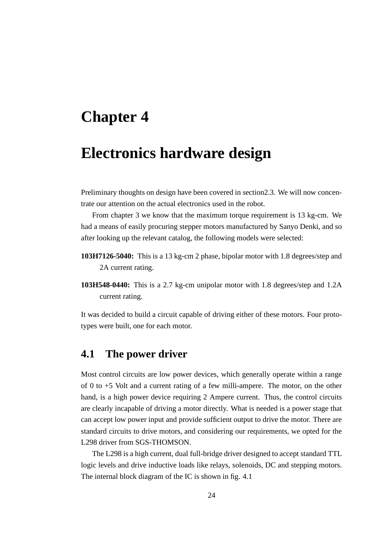### **Electronics hardware design**

Preliminary thoughts on design have been covered in section2.3. We will now concentrate our attention on the actual electronics used in the robot.

From chapter 3 we know that the maximum torque requirement is 13 kg-cm. We had a means of easily procuring stepper motors manufactured by Sanyo Denki, and so after looking up the relevant catalog, the following models were selected:

- **103H7126-5040:** This is a 13 kg-cm 2 phase, bipolar motor with 1.8 degrees/step and 2A current rating.
- **103H548-0440:** This is a 2.7 kg-cm unipolar motor with 1.8 degrees/step and 1.2A current rating.

It was decided to build a circuit capable of driving either of these motors. Four prototypes were built, one for each motor.

### **4.1 The power driver**

Most control circuits are low power devices, which generally operate within a range of 0 to +5 Volt and a current rating of a few milli-ampere. The motor, on the other hand, is a high power device requiring 2 Ampere current. Thus, the control circuits are clearly incapable of driving a motor directly. What is needed is a power stage that can accept low power input and provide sufficient output to drive the motor. There are standard circuits to drive motors, and considering our requirements, we opted for the L298 driver from SGS-THOMSON.

The L298 is a high current, dual full-bridge driver designed to accept standard TTL logic levels and drive inductive loads like relays, solenoids, DC and stepping motors. The internal block diagram of the IC is shown in fig. 4.1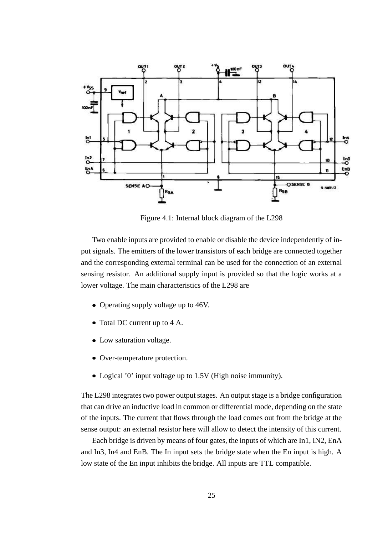

Figure 4.1: Internal block diagram of the L298

Two enable inputs are provided to enable or disable the device independently of input signals. The emitters of the lower transistors of each bridge are connected together and the corresponding external terminal can be used for the connection of an external sensing resistor. An additional supply input is provided so that the logic works at a lower voltage. The main characteristics of the L298 are

- Operating supply voltage up to 46V.
- Total DC current up to 4 A.
- Low saturation voltage.
- Over-temperature protection.
- Logical '0' input voltage up to 1.5V (High noise immunity).

The L298 integrates two power output stages. An output stage is a bridge configuration that can drive an inductive load in common or differential mode, depending on the state of the inputs. The current that flows through the load comes out from the bridge at the sense output: an external resistor here will allow to detect the intensity of this current.

Each bridge is driven by means of four gates, the inputs of which are In1, IN2, EnA and In3, In4 and EnB. The In input sets the bridge state when the En input is high. A low state of the En input inhibits the bridge. All inputs are TTL compatible.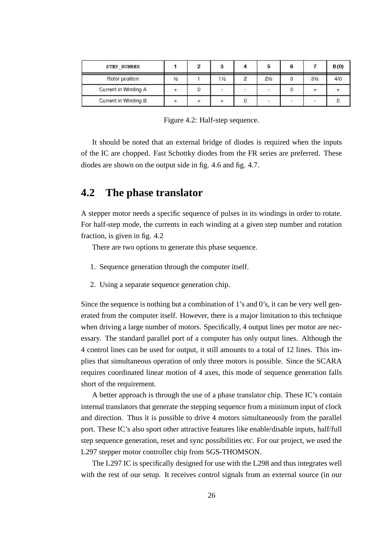| STEP NUMBER          |               | n |      |                   | 5              |                | 8(0) |
|----------------------|---------------|---|------|-------------------|----------------|----------------|------|
| Rotor position       | $\frac{1}{2}$ |   | 11/2 | $\circ$           | $2\frac{1}{2}$ | 3 <sub>2</sub> | 4/0  |
| Current in Winding A | $+$           |   |      | 澾                 | ¥έ             |                |      |
| Current in Winding B |               |   |      | <b>STATISTICS</b> | 58             |                |      |

Figure 4.2: Half-step sequence.

It should be noted that an external bridge of diodes is required when the inputs of the IC are chopped. Fast Schottky diodes from the FR series are preferred. These diodes are shown on the output side in fig. 4.6 and fig. 4.7.

### **4.2 The phase translator**

A stepper motor needs a specific sequence of pulses in its windings in order to rotate. For half-step mode, the currents in each winding at a given step number and rotation fraction, is given in fig. 4.2

There are two options to generate this phase sequence.

- 1. Sequence generation through the computer itself.
- 2. Using a separate sequence generation chip.

Since the sequence is nothing but a combination of 1's and 0's, it can be very well generated from the computer itself. However, there is a major limitation to this technique when driving a large number of motors. Specifically, 4 output lines per motor are necessary. The standard parallel port of a computer has only output lines. Although the 4 control lines can be used for output, it still amounts to a total of 12 lines. This implies that simultaneous operation of only three motors is possible. Since the SCARA requires coordinated linear motion of 4 axes, this mode of sequence generation falls short of the requirement.

A better approach is through the use of a phase translator chip. These IC's contain internal translators that generate the stepping sequence from a minimum input of clock and direction. Thus it is possible to drive 4 motors simultaneously from the parallel port. These IC's also sport other attractive features like enable/disable inputs, half/full step sequence generation, reset and sync possibilities etc. For our project, we used the L297 stepper motor controller chip from SGS-THOMSON.

The L297 IC is specifically designed for use with the L298 and thus integrates well with the rest of our setup. It receives control signals from an external source (in our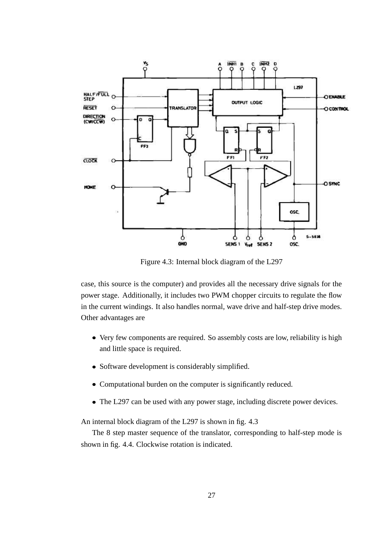

Figure 4.3: Internal block diagram of the L297

case, this source is the computer) and provides all the necessary drive signals for the power stage. Additionally, it includes two PWM chopper circuits to regulate the flow in the current windings. It also handles normal, wave drive and half-step drive modes. Other advantages are

- Very few components are required. So assembly costs are low, reliability is high and little space is required.
- Software development is considerably simplified.
- Computational burden on the computer is significantly reduced.
- The L297 can be used with any power stage, including discrete power devices.

An internal block diagram of the L297 is shown in fig. 4.3

The 8 step master sequence of the translator, corresponding to half-step mode is shown in fig. 4.4. Clockwise rotation is indicated.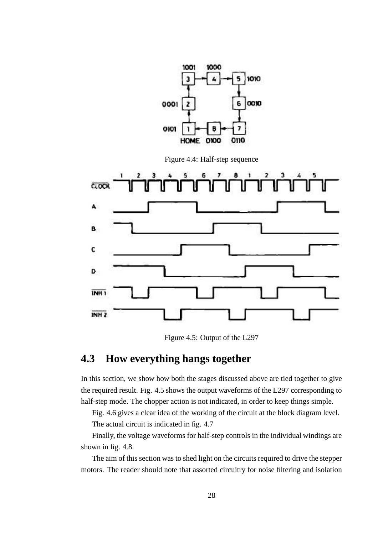

Figure 4.4: Half-step sequence



Figure 4.5: Output of the L297

### **4.3 How everything hangs together**

In this section, we show how both the stages discussed above are tied together to give the required result. Fig. 4.5 shows the output waveforms of the L297 corresponding to half-step mode. The chopper action is not indicated, in order to keep things simple.

Fig. 4.6 gives a clear idea of the working of the circuit at the block diagram level. The actual circuit is indicated in fig. 4.7

Finally, the voltage waveforms for half-step controls in the individual windings are shown in fig. 4.8.

The aim of this section was to shed light on the circuits required to drive the stepper motors. The reader should note that assorted circuitry for noise filtering and isolation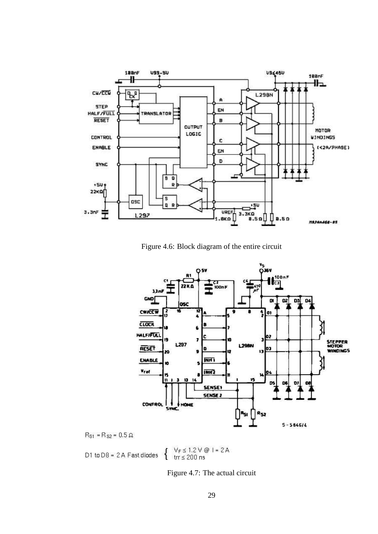

Figure 4.6: Block diagram of the entire circuit



 $R_{s1} = R_{s2} = 0.5 \Omega$ 

 $\begin{cases} & \forall_F \leq 1.2 \vee @ 1 = 2A \\ & \text{tr} \leq 200 \text{ ns} \end{cases}$ D1 to  $DB = 2A$  Fast diodes

Figure 4.7: The actual circuit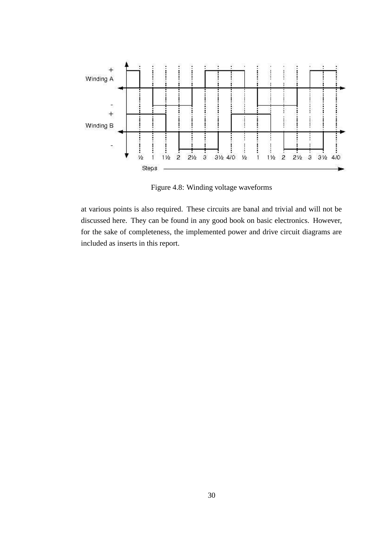

Figure 4.8: Winding voltage waveforms

at various points is also required. These circuits are banal and trivial and will not be discussed here. They can be found in any good book on basic electronics. However, for the sake of completeness, the implemented power and drive circuit diagrams are included as inserts in this report.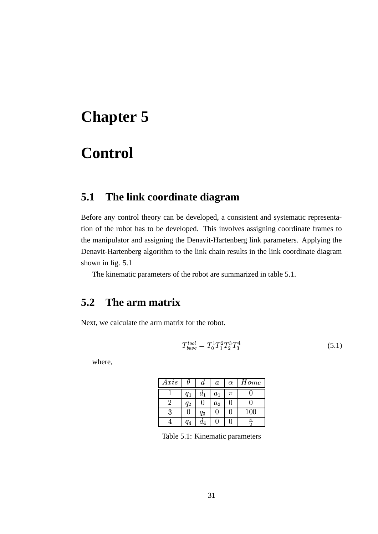## **Control**

### **5.1 The link coordinate diagram**

Before any control theory can be developed, a consistent and systematic representation of the robot has to be developed. This involves assigning coordinate frames to the manipulator and assigning the Denavit-Hartenberg link parameters. Applying the Denavit-Hartenberg algorithm to the link chain results in the link coordinate diagram shown in fig. 5.1

The kinematic parameters of the robot are summarized in table 5.1.

### **5.2 The arm matrix**

Next, we calculate the arm matrix for the robot.

$$
T_{base}^{tool} = T_0^1 T_1^2 T_2^3 T_3^4 \tag{5.1}
$$

where,

| Axis |         | d     | $\it a$ | $\alpha$ | Home |
|------|---------|-------|---------|----------|------|
|      | $q_{1}$ | $a_1$ | $a_1$   | π        |      |
|      | $q_{2}$ |       | $a_2$   |          |      |
| ว    |         | $q_3$ |         |          | 100  |
|      | G4      | $a_4$ |         |          | π    |

Table 5.1: Kinematic parameters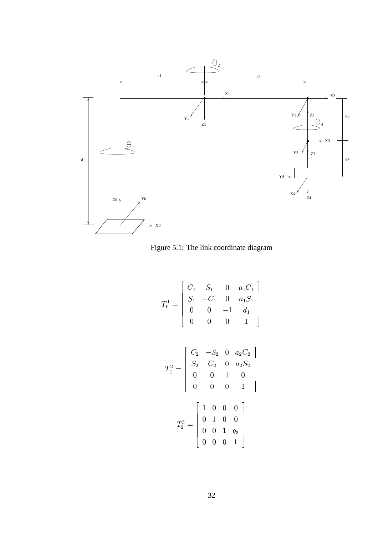

Figure 5.1: The link coordinate diagram

 

$$
T_0^1 = \begin{bmatrix} C_1 & S_1 & 0 & a_1C_1 \\ S_1 & -C_1 & 0 & a_1S_1 \\ 0 & 0 & -1 & d_1 \\ 0 & 0 & 0 & 1 \end{bmatrix}
$$

$$
T_1^2 = \begin{bmatrix} C_2 & -S_2 & 0 & a_2C_2 \\ S_2 & C_2 & 0 & a_2S_2 \\ 0 & 0 & 1 & 0 \\ 0 & 0 & 0 & 1 \end{bmatrix}
$$

$$
T_2^3 = \begin{bmatrix} 1 & 0 & 0 & 0 \\ 0 & 1 & 0 & 0 \\ 0 & 0 & 1 & q_3 \\ 0 & 0 & 0 & 1 \end{bmatrix}
$$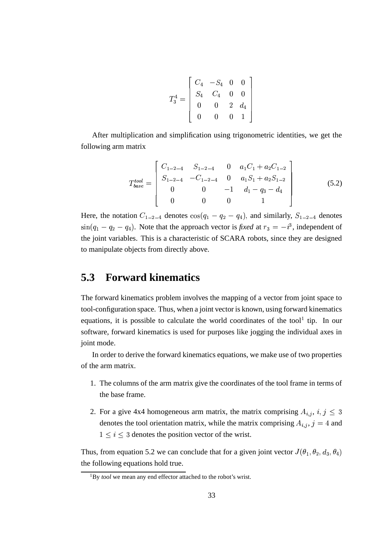$$
T_3^4=\left[\begin{array}{cccc} C_4 & -S_4 & 0 & 0 \\ S_4 & C_4 & 0 & 0 \\ 0 & 0 & 2 & d_4 \\ 0 & 0 & 0 & 1 \end{array}\right]
$$

After multiplication and simplification using trigonometric identities, we get the following arm matrix

$$
T_{base}^{tool} = \begin{bmatrix} C_{1-2-4} & S_{1-2-4} & 0 & a_1C_1 + a_2C_{1-2} \\ S_{1-2-4} & -C_{1-2-4} & 0 & a_1S_1 + a_2S_{1-2} \\ 0 & 0 & -1 & d_1 - q_3 - d_4 \\ 0 & 0 & 0 & 1 \end{bmatrix}
$$
(5.2)

and the contract of the contract of and the contract of the contract of and the contract of the contract of

Here, the notation  $C_{1-2-4}$  denotes  $cos(q_1 - q_2 - q_4)$ , and similarly,  $S_{1-2-4}$  denotes  $\sin(q_1 - q_2 - q_4)$ . Note that the approach vector is *fixed* at  $r_3 = -i^3$ , independent of the joint variables. This is a characteristic of SCARA robots, since they are designed to manipulate objects from directly above.

### **5.3 Forward kinematics**

The forward kinematics problem involves the mapping of a vector from joint space to tool-configuration space. Thus, when a joint vector is known, using forward kinematics equations, it is possible to calculate the world coordinates of the tool<sup>1</sup> tip. In our software, forward kinematics is used for purposes like jogging the individual axes in joint mode.

In order to derive the forward kinematics equations, we make use of two properties of the arm matrix.

- 1. The columns of the arm matrix give the coordinates of the tool frame in terms of the base frame.
- 2. For a give 4x4 homogeneous arm matrix, the matrix comprising  $A_{i,j}$ ,  $i, j \leq 3$ denotes the tool orientation matrix, while the matrix comprising  $A_{i,j}$ ,  $j = 4$  and  $1 \leq i \leq 3$  denotes the position vector of the wrist.

Thus, from equation 5.2 we can conclude that for a given joint vector  $J(\theta_1, \theta_2, d_3, \theta_4)$ the following equations hold true.

<sup>1</sup>By *tool* we mean any end effector attached to the robot's wrist.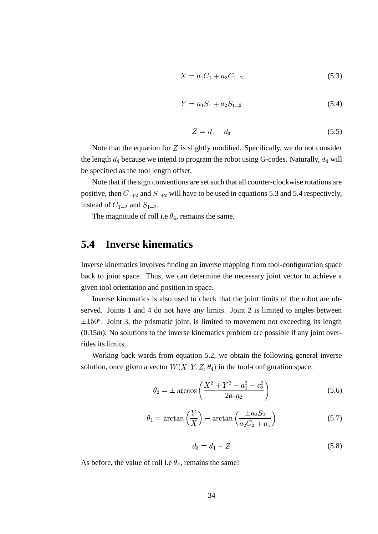$$
X = a_1 C_1 + a_2 C_{1-2} \tag{5.3}
$$

$$
Y = a_1 S_1 + a_2 S_{1-2} \tag{5.4}
$$

$$
Z = d_1 - d_3 \tag{5.5}
$$

Note that the equation for  $Z$  is slightly modified. Specifically, we do not consider the length  $d_4$  because we intend to program the robot using G-codes. Naturally,  $d_4$  will be specified as the tool length offset.

Note that if the sign conventions are set such that all counter-clockwise rotations are positive, then  $C_{1+2}$  and  $S_{1+2}$  will have to be used in equations 5.3 and 5.4 respectively, instead of  $C_{1-2}$  and  $S_{1-2}$ .

The magnitude of roll i.e  $\theta_4$ , remains the same.

### **5.4 Inverse kinematics**

Inverse kinematics involves finding an inverse mapping from tool-configuration space back to joint space. Thus, we can determine the necessary joint vector to achieve a given tool orientation and position in space.

Inverse kinematics is also used to check that the joint limits of the robot are observed. Joints 1 and 4 do not have any limits. Joint 2 is limited to angles between  $\pm 150^\circ$ . Joint 3, the prismatic joint, is limited to movement not exceeding its length (0.15*m*). No solutions to the inverse kinematics problem are possible if any joint overrides its limits.

Working back wards from equation 5.2, we obtain the following general inverse solution, once given a vector  $W(X, Y, Z, \theta_4)$  in the tool-configuration space.

$$
\theta_2 = \pm \arccos\left(\frac{X^2 + Y^2 - a_1^2 - a_2^2}{2a_1 a_2}\right) \tag{5.6}
$$

$$
\theta_1 = \arctan\left(\frac{Y}{X}\right) - \arctan\left(\frac{\pm a_2 S_2}{a_2 C_2 + a_1}\right) \tag{5.7}
$$

$$
d_3 = d_1 - Z \tag{5.8}
$$

As before, the value of roll i.e  $\theta_4$ , remains the same!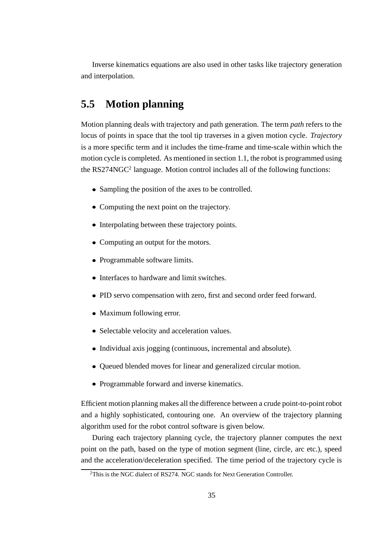Inverse kinematics equations are also used in other tasks like trajectory generation and interpolation.

### **5.5 Motion planning**

Motion planning deals with trajectory and path generation. The term *path* refers to the locus of points in space that the tool tip traverses in a given motion cycle. *Trajectory* is a more specific term and it includes the time-frame and time-scale within which the motion cycle is completed. As mentioned in section 1.1, the robot is programmed using the  $RS274NGC<sup>2</sup>$  language. Motion control includes all of the following functions:

- Sampling the position of the axes to be controlled.
- Computing the next point on the trajectory.
- Interpolating between these trajectory points.
- Computing an output for the motors.
- Programmable software limits.
- Interfaces to hardware and limit switches.
- PID servo compensation with zero, first and second order feed forward.
- Maximum following error.
- Selectable velocity and acceleration values.
- Individual axis jogging (continuous, incremental and absolute).
- Queued blended moves for linear and generalized circular motion.
- Programmable forward and inverse kinematics.

Efficient motion planning makes all the difference between a crude point-to-point robot and a highly sophisticated, contouring one. An overview of the trajectory planning algorithm used for the robot control software is given below.

During each trajectory planning cycle, the trajectory planner computes the next point on the path, based on the type of motion segment (line, circle, arc etc.), speed and the acceleration/deceleration specified. The time period of the trajectory cycle is

<sup>&</sup>lt;sup>2</sup>This is the NGC dialect of RS274. NGC stands for Next Generation Controller.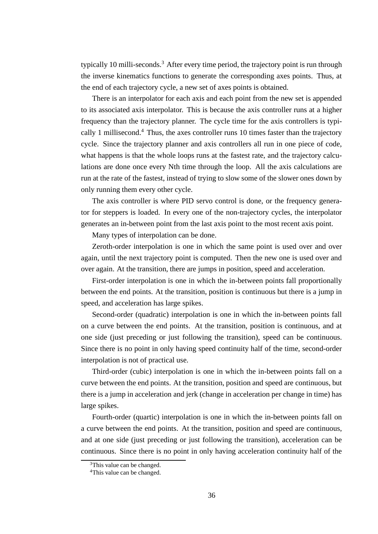typically 10 milli-seconds.<sup>3</sup> After every time period, the trajectory point is run through the inverse kinematics functions to generate the corresponding axes points. Thus, at the end of each trajectory cycle, a new set of axes points is obtained.

There is an interpolator for each axis and each point from the new set is appended to its associated axis interpolator. This is because the axis controller runs at a higher frequency than the trajectory planner. The cycle time for the axis controllers is typically 1 millisecond.<sup>4</sup> Thus, the axes controller runs 10 times faster than the trajectory cycle. Since the trajectory planner and axis controllers all run in one piece of code, what happens is that the whole loops runs at the fastest rate, and the trajectory calculations are done once every Nth time through the loop. All the axis calculations are run at the rate of the fastest, instead of trying to slow some of the slower ones down by only running them every other cycle.

The axis controller is where PID servo control is done, or the frequency generator for steppers is loaded. In every one of the non-trajectory cycles, the interpolator generates an in-between point from the last axis point to the most recent axis point.

Many types of interpolation can be done.

Zeroth-order interpolation is one in which the same point is used over and over again, until the next trajectory point is computed. Then the new one is used over and over again. At the transition, there are jumps in position, speed and acceleration.

First-order interpolation is one in which the in-between points fall proportionally between the end points. At the transition, position is continuous but there is a jump in speed, and acceleration has large spikes.

Second-order (quadratic) interpolation is one in which the in-between points fall on a curve between the end points. At the transition, position is continuous, and at one side (just preceding or just following the transition), speed can be continuous. Since there is no point in only having speed continuity half of the time, second-order interpolation is not of practical use.

Third-order (cubic) interpolation is one in which the in-between points fall on a curve between the end points. At the transition, position and speed are continuous, but there is a jump in acceleration and jerk (change in acceleration per change in time) has large spikes.

Fourth-order (quartic) interpolation is one in which the in-between points fall on a curve between the end points. At the transition, position and speed are continuous, and at one side (just preceding or just following the transition), acceleration can be continuous. Since there is no point in only having acceleration continuity half of the

<sup>&</sup>lt;sup>3</sup>This value can be changed.

<sup>4</sup>This value can be changed.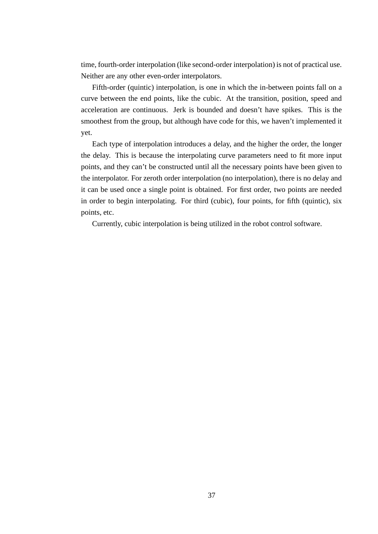time, fourth-order interpolation (like second-order interpolation) is not of practical use. Neither are any other even-order interpolators.

Fifth-order (quintic) interpolation, is one in which the in-between points fall on a curve between the end points, like the cubic. At the transition, position, speed and acceleration are continuous. Jerk is bounded and doesn't have spikes. This is the smoothest from the group, but although have code for this, we haven't implemented it yet.

Each type of interpolation introduces a delay, and the higher the order, the longer the delay. This is because the interpolating curve parameters need to fit more input points, and they can't be constructed until all the necessary points have been given to the interpolator. For zeroth order interpolation (no interpolation), there is no delay and it can be used once a single point is obtained. For first order, two points are needed in order to begin interpolating. For third (cubic), four points, for fifth (quintic), six points, etc.

Currently, cubic interpolation is being utilized in the robot control software.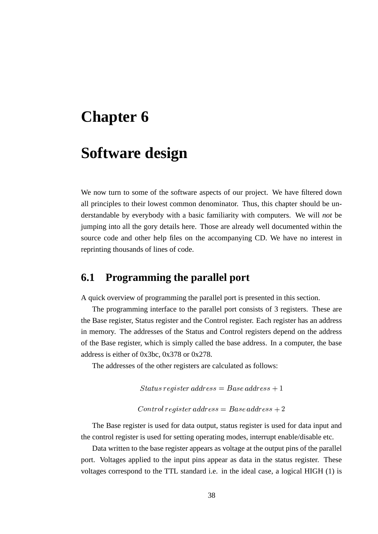## **Software design**

We now turn to some of the software aspects of our project. We have filtered down all principles to their lowest common denominator. Thus, this chapter should be understandable by everybody with a basic familiarity with computers. We will *not* be jumping into all the gory details here. Those are already well documented within the source code and other help files on the accompanying CD. We have no interest in reprinting thousands of lines of code.

### **6.1 Programming the parallel port**

A quick overview of programming the parallel port is presented in this section.

The programming interface to the parallel port consists of 3 registers. These are the Base register, Status register and the Control register. Each register has an address in memory. The addresses of the Status and Control registers depend on the address of the Base register, which is simply called the base address. In a computer, the base address is either of 0x3bc, 0x378 or 0x278.

The addresses of the other registers are calculated as follows:

 $\mathop{\cal Stat}u\mathop{\cal s} {\scriptstyle{} r}$ e $\mathop{\cal q}\nolimits {\scriptstyle{} is} {\scriptstyle{} t} {\scriptstyle{} e\hskip 1pt} {\scriptstyle{} nd} {\scriptstyle{} d\hskip 1pt} {\scriptstyle{} d\hskip 1pt}$  $\emph{ister address} = Base address + 1$ -

$$
Control \ register \ address = Base \ address + 2
$$

The Base register is used for data output, status register is used for data input and the control register is used for setting operating modes, interrupt enable/disable etc.

Data written to the base register appears as voltage at the output pins of the parallel port. Voltages applied to the input pins appear as data in the status register. These voltages correspond to the TTL standard i.e. in the ideal case, a logical HIGH (1) is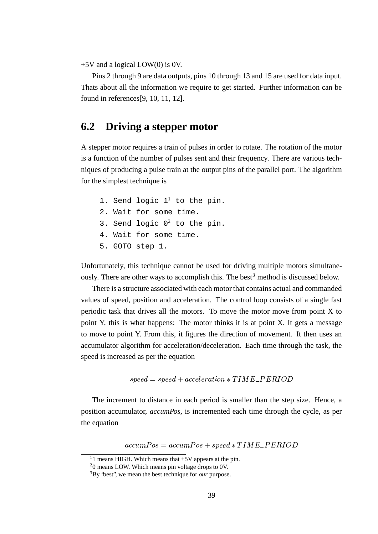+5V and a logical LOW(0) is 0V.

Pins 2 through 9 are data outputs, pins 10 through 13 and 15 are used for data input. Thats about all the information we require to get started. Further information can be found in references[9, 10, 11, 12].

### **6.2 Driving a stepper motor**

A stepper motor requires a train of pulses in order to rotate. The rotation of the motor is a function of the number of pulses sent and their frequency. There are various techniques of producing a pulse train at the output pins of the parallel port. The algorithm for the simplest technique is

1. Send logic  $1^1$  to the pin. 2. Wait for some time. 3. Send logic  $0^2$  to the pin. 4. Wait for some time. 5. GOTO step 1.

Unfortunately, this technique cannot be used for driving multiple motors simultaneously. There are other ways to accomplish this. The best<sup>3</sup> method is discussed below.

There is a structure associated with each motor that contains actual and commanded values of speed, position and acceleration. The control loop consists of a single fast periodic task that drives all the motors. To move the motor move from point X to point Y, this is what happens: The motor thinks it is at point X. It gets a message to move to point Y. From this, it figures the direction of movement. It then uses an accumulator algorithm for acceleration/deceleration. Each time through the task, the speed is increased as per the equation

$$
speed = speed + acceleration * TIME\_PERIOD
$$

The increment to distance in each period is smaller than the step size. Hence, a position accumulator, *accumPos,* is incremented each time through the cycle, as per the equation

> $accumPos = accumPos + speed * TIME\_PERIOD$  $E_{-}PERIOD$

<sup>&</sup>lt;sup>1</sup>1 means HIGH. Which means that  $+5V$  appears at the pin.

<sup>2</sup>0 means LOW. Which means pin voltage drops to 0V.

<sup>3</sup>By "best", we mean the best technique for *our* purpose.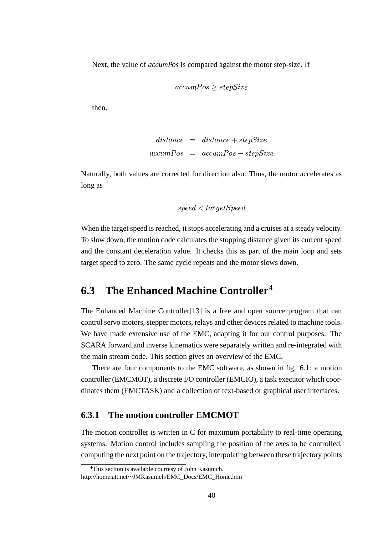Next, the value of *accumPos* is compared against the motor step-size. If

$$
accumPos \geq stepSize
$$

then,

$$
distance = distance + stepSize
$$
  
 
$$
accumPos = accumPos - stepSize
$$

Naturally, both values are corrected for direction also. Thus, the motor accelerates as long as

$$
speed
$$

When the target speed is reached, it stops accelerating and a cruises at a steady velocity. To slow down, the motion code calculates the stopping distance given its current speed and the constant deceleration value. It checks this as part of the main loop and sets target speed to zero. The same cycle repeats and the motor slows down.

### **6.3 The Enhanced Machine Controller**<sup>4</sup>

The Enhanced Machine Controller[13] is a free and open source program that can control servo motors, stepper motors, relays and other devices related to machine tools. We have made extensive use of the EMC, adapting it for our control purposes. The SCARA forward and inverse kinematics were separately written and re-integrated with the main stream code. This section gives an overview of the EMC.

There are four components to the EMC software, as shown in fig. 6.1: a motion controller (EMCMOT), a discrete I/O controller (EMCIO), a task executor which coordinates them (EMCTASK) and a collection of text-based or graphical user interfaces.

#### **6.3.1 The motion controller EMCMOT**

The motion controller is written in C for maximum portability to real-time operating systems. Motion control includes sampling the position of the axes to be controlled, computing the next point on the trajectory, interpolating between these trajectory points

<sup>4</sup>This section is available courtesy of John Kasunich.

http://home.att.net/~JMKasunich/EMC\_Docs/EMC\_Home.htm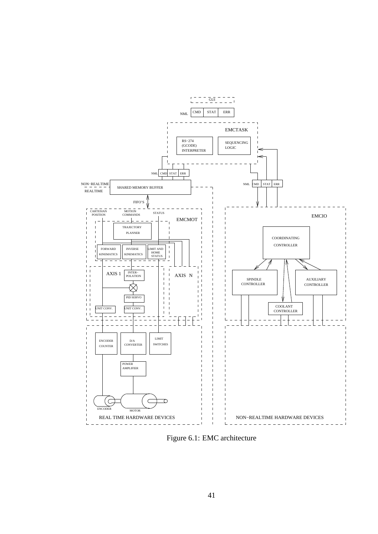

Figure 6.1: EMC architecture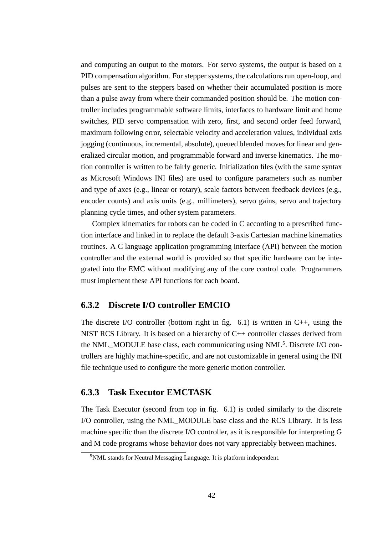and computing an output to the motors. For servo systems, the output is based on a PID compensation algorithm. For stepper systems, the calculations run open-loop, and pulses are sent to the steppers based on whether their accumulated position is more than a pulse away from where their commanded position should be. The motion controller includes programmable software limits, interfaces to hardware limit and home switches, PID servo compensation with zero, first, and second order feed forward, maximum following error, selectable velocity and acceleration values, individual axis jogging (continuous, incremental, absolute), queued blended moves for linear and generalized circular motion, and programmable forward and inverse kinematics. The motion controller is written to be fairly generic. Initialization files (with the same syntax as Microsoft Windows INI files) are used to configure parameters such as number and type of axes (e.g., linear or rotary), scale factors between feedback devices (e.g., encoder counts) and axis units (e.g., millimeters), servo gains, servo and trajectory planning cycle times, and other system parameters.

Complex kinematics for robots can be coded in C according to a prescribed function interface and linked in to replace the default 3-axis Cartesian machine kinematics routines. A C language application programming interface (API) between the motion controller and the external world is provided so that specific hardware can be integrated into the EMC without modifying any of the core control code. Programmers must implement these API functions for each board.

#### **6.3.2 Discrete I/O controller EMCIO**

The discrete I/O controller (bottom right in fig. 6.1) is written in  $C_{++}$ , using the NIST RCS Library. It is based on a hierarchy of C++ controller classes derived from the NML\_MODULE base class, each communicating using NML<sup>5</sup>. Discrete I/O controllers are highly machine-specific, and are not customizable in general using the INI file technique used to configure the more generic motion controller.

#### **6.3.3 Task Executor EMCTASK**

The Task Executor (second from top in fig. 6.1) is coded similarly to the discrete I/O controller, using the NML\_MODULE base class and the RCS Library. It is less machine specific than the discrete I/O controller, as it is responsible for interpreting G and M code programs whose behavior does not vary appreciably between machines.

<sup>&</sup>lt;sup>5</sup>NML stands for Neutral Messaging Language. It is platform independent.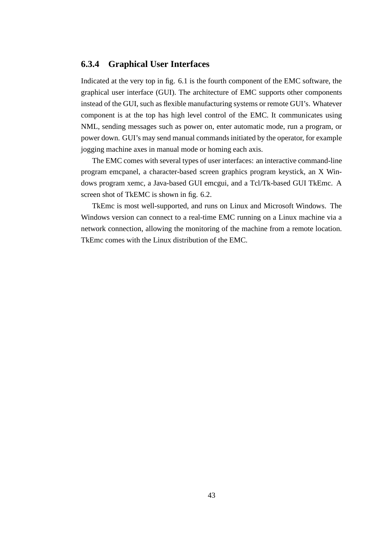#### **6.3.4 Graphical User Interfaces**

Indicated at the very top in fig. 6.1 is the fourth component of the EMC software, the graphical user interface (GUI). The architecture of EMC supports other components instead of the GUI, such as flexible manufacturing systems or remote GUI's. Whatever component is at the top has high level control of the EMC. It communicates using NML, sending messages such as power on, enter automatic mode, run a program, or power down. GUI's may send manual commandsinitiated by the operator, for example jogging machine axes in manual mode or homing each axis.

The EMC comes with several types of user interfaces: an interactive command-line program emcpanel, a character-based screen graphics program keystick, an X Windows program xemc, a Java-based GUI emcgui, and a Tcl/Tk-based GUI TkEmc. A screen shot of TkEMC is shown in fig. 6.2.

TkEmc is most well-supported, and runs on Linux and Microsoft Windows. The Windows version can connect to a real-time EMC running on a Linux machine via a network connection, allowing the monitoring of the machine from a remote location. TkEmc comes with the Linux distribution of the EMC.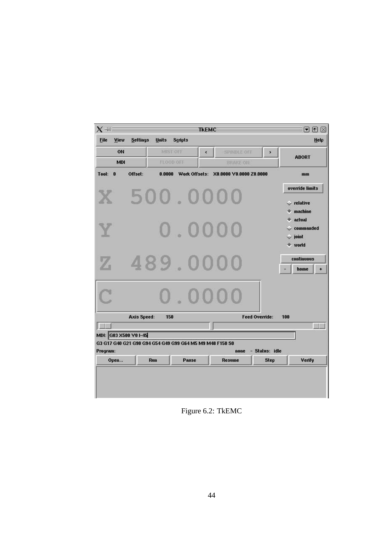| X-WE                              |                                                          |              |                | <b>TKEMC</b> |                                              |                |     | $\blacksquare$ $\boxtimes$ $\boxtimes$                                   |
|-----------------------------------|----------------------------------------------------------|--------------|----------------|--------------|----------------------------------------------|----------------|-----|--------------------------------------------------------------------------|
| File<br>View                      | <b>Settings</b>                                          | <b>Units</b> | <b>Scripts</b> |              |                                              |                |     | Help                                                                     |
| ON                                |                                                          | MIST OFF     |                | $\leq$       | <b>SPINDLE OFF</b>                           | ×              |     | <b>ABORT</b>                                                             |
| <b>MDI</b>                        |                                                          | FLOOD OFF    |                |              | <b>BRAKE ON</b>                              |                |     |                                                                          |
| Tool:<br>$\bf{0}$                 | Offset:                                                  |              |                |              | 0.0000 Work Offsets: X0.0000 V0.0000 Z0.0000 |                |     | mm                                                                       |
|                                   |                                                          |              |                |              |                                              |                |     | override limits                                                          |
|                                   |                                                          |              |                |              |                                              |                |     | $\vee$ relative<br>machine                                               |
|                                   |                                                          |              |                |              |                                              |                |     | actual<br>commanded<br>$\overline{\phantom{a}}$ joint<br>$\bullet$ world |
|                                   |                                                          |              |                |              |                                              |                |     | <b>continuous</b><br>home<br>$\bullet$                                   |
|                                   |                                                          |              |                |              |                                              |                |     |                                                                          |
|                                   | <b>Axis Speed:</b>                                       | 150          |                |              |                                              | Feed Override: | 100 |                                                                          |
|                                   |                                                          |              |                |              |                                              |                |     | 樹塔                                                                       |
| MDI: G03 X500 Y0 1-45<br>Program: | G3 G17 G40 G21 G90 G94 G54 G49 G99 G64 M5 M9 M48 F150 S0 |              |                |              | none                                         | - Status: idle |     |                                                                          |
| Open                              | Run                                                      |              | Pause          |              | Resume                                       | <b>Step</b>    |     | Verify                                                                   |

Figure 6.2: TkEMC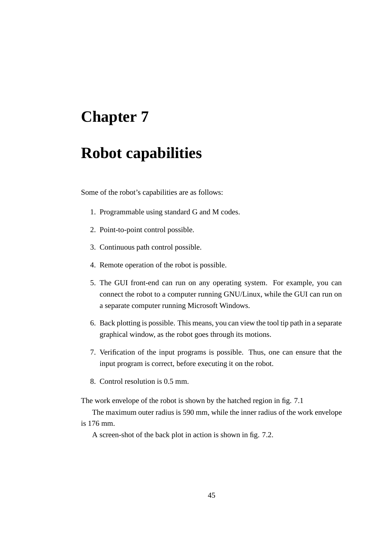## **Robot capabilities**

Some of the robot's capabilities are as follows:

- 1. Programmable using standard G and M codes.
- 2. Point-to-point control possible.
- 3. Continuous path control possible.
- 4. Remote operation of the robot is possible.
- 5. The GUI front-end can run on any operating system. For example, you can connect the robot to a computer running GNU/Linux, while the GUI can run on a separate computer running Microsoft Windows.
- 6. Back plotting is possible. This means, you can view the tool tip path in a separate graphical window, as the robot goes through its motions.
- 7. Verification of the input programs is possible. Thus, one can ensure that the input program is correct, before executing it on the robot.
- 8. Control resolution is 0.5 mm.

The work envelope of the robot is shown by the hatched region in fig. 7.1

The maximum outer radius is 590 mm, while the inner radius of the work envelope is 176 mm.

A screen-shot of the back plot in action is shown in fig. 7.2.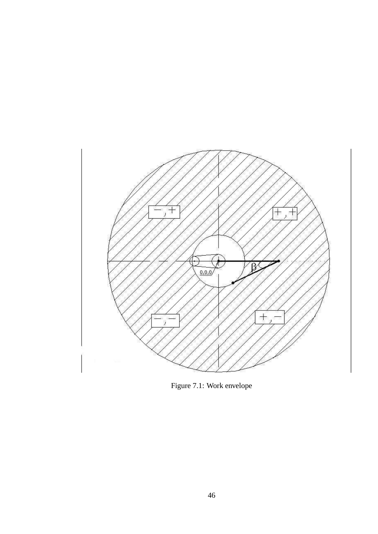

Figure 7.1: Work envelope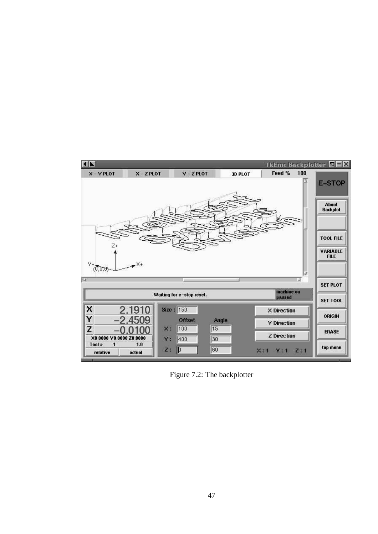

Figure 7.2: The backplotter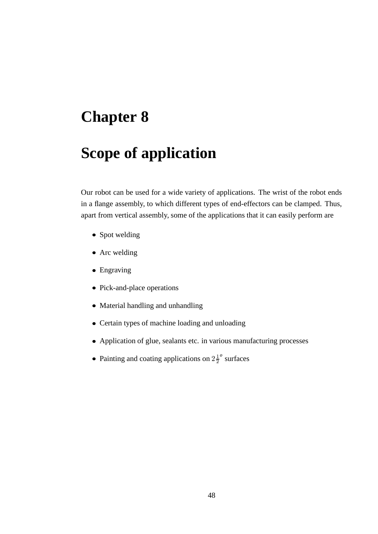## **Scope of application**

Our robot can be used for a wide variety of applications. The wrist of the robot ends in a flange assembly, to which different types of end-effectors can be clamped. Thus, apart from vertical assembly, some of the applications that it can easily perform are

- Spot welding
- Arc welding
- Engraving
- Pick-and-place operations
- Material handling and unhandling
- Certain types of machine loading and unloading
- Application of glue, sealants etc. in various manufacturing processes
- Painting and coating applications on  $2\frac{1}{2}^{\circ}$  surfaces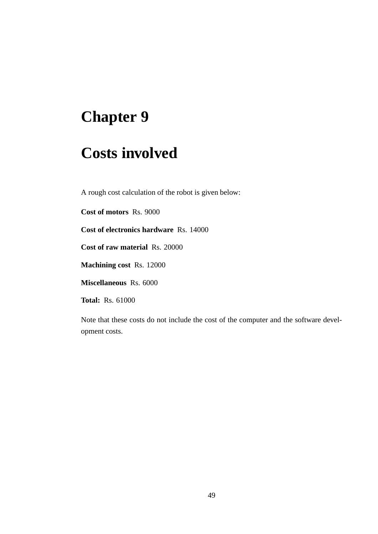## **Costs involved**

A rough cost calculation of the robot is given below:

**Cost of motors** Rs. 9000

**Cost of electronics hardware** Rs. 14000

**Cost of raw material** Rs. 20000

**Machining cost** Rs. 12000

**Miscellaneous** Rs. 6000

**Total:** Rs. 61000

Note that these costs do not include the cost of the computer and the software development costs.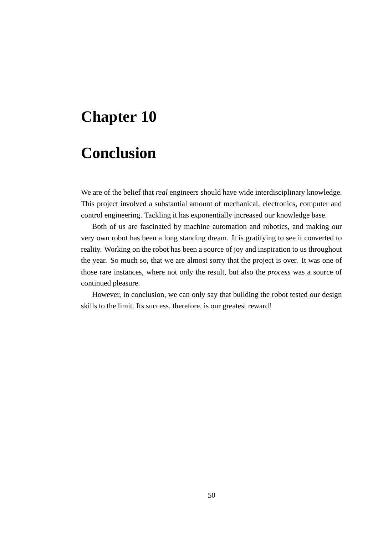## **Conclusion**

We are of the belief that *real* engineers should have wide interdisciplinary knowledge. This project involved a substantial amount of mechanical, electronics, computer and control engineering. Tackling it has exponentially increased our knowledge base.

Both of us are fascinated by machine automation and robotics, and making our very own robot has been a long standing dream. It is gratifying to see it converted to reality. Working on the robot has been a source of joy and inspiration to us throughout the year. So much so, that we are almost sorry that the project is over. It was one of those rare instances, where not only the result, but also the *process* was a source of continued pleasure.

However, in conclusion, we can only say that building the robot tested our design skills to the limit. Its success, therefore, is our greatest reward!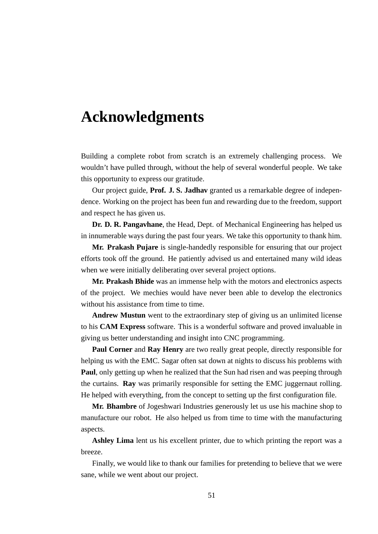## **Acknowledgments**

Building a complete robot from scratch is an extremely challenging process. We wouldn't have pulled through, without the help of several wonderful people. We take this opportunity to express our gratitude.

Our project guide, **Prof. J. S. Jadhav** granted us a remarkable degree of independence. Working on the project has been fun and rewarding due to the freedom, support and respect he has given us.

**Dr. D. R. Pangavhane**, the Head, Dept. of Mechanical Engineering has helped us in innumerable ways during the past four years. We take this opportunity to thank him.

**Mr. Prakash Pujare** is single-handedly responsible for ensuring that our project efforts took off the ground. He patiently advised us and entertained many wild ideas when we were initially deliberating over several project options.

**Mr. Prakash Bhide** was an immense help with the motors and electronics aspects of the project. We mechies would have never been able to develop the electronics without his assistance from time to time.

**Andrew Mustun** went to the extraordinary step of giving us an unlimited license to his **CAM Express** software. This is a wonderful software and proved invaluable in giving us better understanding and insight into CNC programming.

**Paul Corner** and **Ray Henry** are two really great people, directly responsible for helping us with the EMC. Sagar often sat down at nights to discuss his problems with **Paul**, only getting up when he realized that the Sun had risen and was peeping through the curtains. **Ray** was primarily responsible for setting the EMC juggernaut rolling. He helped with everything, from the concept to setting up the first configuration file.

**Mr. Bhambre** of Jogeshwari Industries generously let us use his machine shop to manufacture our robot. He also helped us from time to time with the manufacturing aspects.

**Ashley Lima** lent us his excellent printer, due to which printing the report was a breeze.

Finally, we would like to thank our families for pretending to believe that we were sane, while we went about our project.